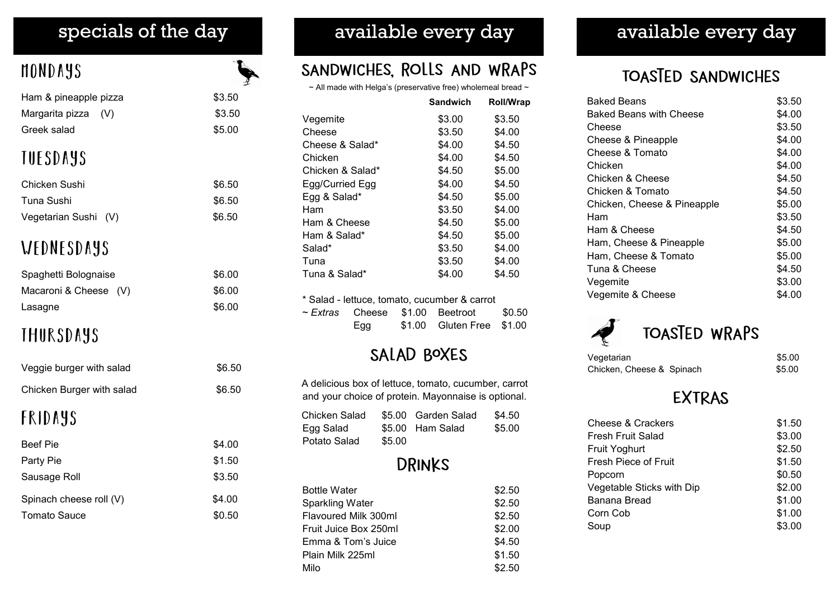# mondays

| Ham & pineapple pizza | \$3.50 |
|-----------------------|--------|
| Margarita pizza (V)   | \$3.50 |
| Greek salad           | \$5.00 |
| <b>THESDAYS</b>       |        |

# t u e d d u d d

| Chicken Sushi        | \$6.50 |
|----------------------|--------|
| Tuna Sushi           | \$6.50 |
| Vegetarian Sushi (V) | \$6.50 |

## WEDNESDAYS

| Spaghetti Bolognaise  | \$6.00 |
|-----------------------|--------|
| Macaroni & Cheese (V) | \$6.00 |
| Lasagne               | \$6.00 |

# **THURSDAYS**

| <b>FRIDAYS</b>            |        |
|---------------------------|--------|
| Chicken Burger with salad | \$6.50 |
| Veggie burger with salad  | \$6.50 |

| <b>Beef Pie</b>         | \$4.00 |
|-------------------------|--------|
| Party Pie               | \$1.50 |
| Sausage Roll            | \$3.50 |
| Spinach cheese roll (V) | \$4.00 |
| Tomato Sauce            | \$0.50 |

## specials of the day **available every day** available every day

### SANDWICHES, ROLLS AND WRAPS

 $\sim$  All made with Helga's (preservative free) wholemeal bread  $\sim$ 

|                  | <b>Sandwich</b> | <b>Roll/Wrap</b> |
|------------------|-----------------|------------------|
| Vegemite         | \$3.00          | \$3.50           |
| Cheese           | \$3.50          | \$4.00           |
| Cheese & Salad*  | \$4.00          | \$4.50           |
| Chicken          | \$4.00          | \$4.50           |
| Chicken & Salad* | \$4.50          | \$5.00           |
| Egg/Curried Egg  | \$4.00          | \$4.50           |
| Egg & Salad*     | \$4.50          | \$5.00           |
| Ham              | \$3.50          | \$4.00           |
| Ham & Cheese     | \$4.50          | \$5.00           |
| Ham & Salad*     | \$4.50          | \$5.00           |
| Salad*           | \$3.50          | \$4.00           |
| Tuna             | \$3.50          | \$4.00           |
| Tuna & Salad*    | \$4.00          | \$4.50           |

| * Salad - lettuce, tomato, cucumber & carrot |     |  |                                             |  |
|----------------------------------------------|-----|--|---------------------------------------------|--|
|                                              |     |  | $\sim$ Extras Cheese \$1.00 Beetroot \$0.50 |  |
|                                              | Egg |  | \$1.00 Gluten Free \$1.00                   |  |

### SALAD BOXES

| A delicious box of lettuce, tomato, cucumber, carrot<br>and your choice of protein. Mayonnaise is optional.         |  |  |  |
|---------------------------------------------------------------------------------------------------------------------|--|--|--|
| \$5.00 Garden Salad<br>\$4.50<br>Chicken Salad<br>\$5.00<br>\$5.00 Ham Salad<br>Egg Salad<br>Potato Salad<br>\$5.00 |  |  |  |
| <b>DRINKS</b>                                                                                                       |  |  |  |

| <b>Bottle Water</b>    | \$2.50 |
|------------------------|--------|
| <b>Sparkling Water</b> | \$2.50 |
| Flavoured Milk 300ml   | \$2.50 |
| Fruit Juice Box 250ml  | \$2.00 |
| Emma & Tom's Juice     | \$4.50 |
| Plain Milk 225ml       | \$1.50 |
| Milo                   | \$2.50 |

### TOASTED SANDWICHES

| Baked Beans                 | \$3.50 |
|-----------------------------|--------|
| Baked Beans with Cheese     | \$4.00 |
| Cheese                      | \$3.50 |
| Cheese & Pineapple          | \$4.00 |
| Cheese & Tomato             | \$4.00 |
| Chicken                     | \$4.00 |
| Chicken & Cheese            | \$4.50 |
| Chicken & Tomato            | \$4.50 |
| Chicken, Cheese & Pineapple | \$5.00 |
| Ham                         | \$3.50 |
| Ham & Cheese                | \$4.50 |
| Ham, Cheese & Pineapple     | \$5.00 |
| Ham, Cheese & Tomato        | \$5.00 |
| Tuna & Cheese               | \$4.50 |
| Vegemite                    | \$3.00 |
| Vegemite & Cheese           | \$4.00 |

# TOASTED WRAPS

| Vegetarian                | \$5.00 |
|---------------------------|--------|
| Chicken, Cheese & Spinach | \$5.00 |

### **EXTRAS**

| Cheese & Crackers         | \$1.50          |
|---------------------------|-----------------|
| Fresh Fruit Salad         | \$3.00          |
| <b>Fruit Yoghurt</b>      | \$2.50          |
| Fresh Piece of Fruit      | \$1.50          |
| Popcorn                   | \$0.50          |
| Vegetable Sticks with Dip | \$2.00          |
| Banana Bread              | \$1.00          |
| Corn Cob                  | \$1.00          |
| Soup                      | <b>S3</b><br>00 |